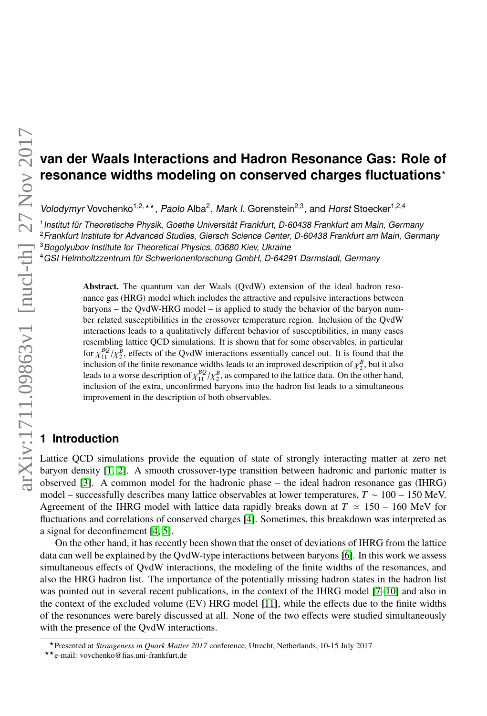# **van der Waals Interactions and Hadron Resonance Gas: Role of resonance widths modeling on conserved charges fluctuations**?

Volodymyr Vovchenko<sup>1,2,\*\*</sup>, Paolo Alba<sup>2</sup>, Mark I. Gorenstein<sup>2,3</sup> Volodymyr Vovchenko<sup>1,2,\*\*</sup>, Paolo Alba<sup>2</sup>, Mark I. Gorenstein<sup>2,3</sup>, and Horst Stoecker<sup>1,2,4</sup>

1 Institut für Theoretische Physik, Goethe Universität Frankfurt, D-60438 Frankfurt am Main, Germany

<sup>2</sup> Frankfurt Institute for Advanced Studies, Giersch Science Center, D-60438 Frankfurt am Main, Germany

<sup>3</sup>Bogolyubov Institute for Theoretical Physics, 03680 Kiev, Ukraine

<sup>4</sup>GSI Helmholtzzentrum für Schwerionenforschung GmbH, D-64291 Darmstadt, Germany

Abstract. The quantum van der Waals (QvdW) extension of the ideal hadron resonance gas (HRG) model which includes the attractive and repulsive interactions between baryons – the QvdW-HRG model – is applied to study the behavior of the baryon number related susceptibilities in the crossover temperature region. Inclusion of the QvdW interactions leads to a qualitatively different behavior of susceptibilities, in many cases resembling lattice QCD simulations. It is shown that for some observables, in particular for  $\chi_{11}^{BQ}/\chi_{2}^{B}$ , effects of the QvdW interactions essentially cancel out. It is formulation of the finite resonance widths leads to an improved description of  $\chi_{\text{total}}$ for  $\chi_{11}^{BQ}/\chi_2^B$ , effects of the QvdW interactions essentially cancel out. It is found that the  $\frac{B}{2}$ , but it also leads to a worse description of  $\chi_{11}^{BQ} / \chi_2^B$ <br>inclusion of the extra unconfirmed by leads to a worse description of  $\chi_{11}^{BQ}/\chi_2^B$ , as compared to the lattice data. On the other hand, inclusion of the extra, unconfirmed baryons into the hadron list leads to a simultaneous improvement in the description of both observables.

## **1 Introduction**

Lattice QCD simulations provide the equation of state of strongly interacting matter at zero net baryon density [\[1,](#page-3-0) [2\]](#page-3-1). A smooth crossover-type transition between hadronic and partonic matter is observed [\[3\]](#page-3-2). A common model for the hadronic phase – the ideal hadron resonance gas (IHRG) model – successfully describes many lattice observables at lower temperatures, *T* ∼ 100 − 150 MeV. Agreement of the IHRG model with lattice data rapidly breaks down at  $T \approx 150 - 160$  MeV for fluctuations and correlations of conserved charges [\[4\]](#page-3-3). Sometimes, this breakdown was interpreted as a signal for deconfinement [\[4,](#page-3-3) [5\]](#page-3-4).

On the other hand, it has recently been shown that the onset of deviations of IHRG from the lattice data can well be explained by the QvdW-type interactions between baryons [\[6\]](#page-3-5). In this work we assess simultaneous effects of QvdW interactions, the modeling of the finite widths of the resonances, and also the HRG hadron list. The importance of the potentially missing hadron states in the hadron list was pointed out in several recent publications, in the context of the IHRG model [\[7–](#page-3-6)[10\]](#page-3-7) and also in the context of the excluded volume (EV) HRG model [\[11\]](#page-3-8), while the effects due to the finite widths of the resonances were barely discussed at all. None of the two effects were studied simultaneously with the presence of the QvdW interactions.

<sup>?</sup>Presented at *Strangeness in Quark Matter 2017* conference, Utrecht, Netherlands, 10-15 July 2017

<sup>??</sup>e-mail: vovchenko@fias.uni-frankfurt.de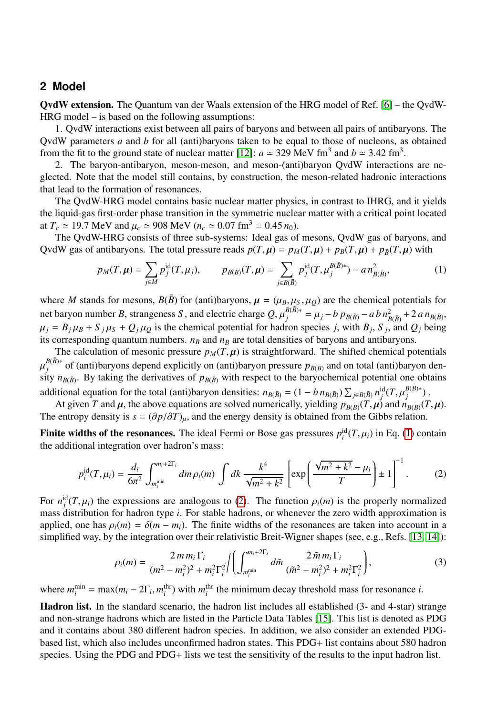## **2 Model**

QvdW extension. The Quantum van der Waals extension of the HRG model of Ref. [\[6\]](#page-3-5) – the QvdW-HRG model – is based on the following assumptions:

1. QvdW interactions exist between all pairs of baryons and between all pairs of antibaryons. The QvdW parameters *a* and *b* for all (anti)baryons taken to be equal to those of nucleons, as obtained from the fit to the ground state of nuclear matter [\[12\]](#page-3-9):  $a \approx 329$  MeV fm<sup>3</sup> and  $b \approx 3.42$  fm<sup>3</sup>.<br>
<sup>2</sup> The baryon-antibaryon meson-meson and meson-(anti)baryon OvdW interaction

2. The baryon-antibaryon, meson-meson, and meson-(anti)baryon QvdW interactions are neglected. Note that the model still contains, by construction, the meson-related hadronic interactions that lead to the formation of resonances.

The QvdW-HRG model contains basic nuclear matter physics, in contrast to IHRG, and it yields the liquid-gas first-order phase transition in the symmetric nuclear matter with a critical point located at  $T_c \approx 19.7$  MeV and  $\mu_c \approx 908$  MeV ( $n_c \approx 0.07$  fm<sup>3</sup> = 0.45  $n_0$ ).

The QvdW-HRG consists of three sub-systems: Ideal gas of mesons, QvdW gas of baryons, and QvdW gas of antibaryons. The total pressure reads  $p(T, \mu) = p_M(T, \mu) + p_B(T, \mu) + p_{\bar{B}}(T, \mu)$  with

<span id="page-1-0"></span>
$$
p_M(T,\mu) = \sum_{j \in M} p_j^{\text{id}}(T,\mu_j), \qquad p_{B(\bar{B})}(T,\mu) = \sum_{j \in B(\bar{B})} p_j^{\text{id}}(T,\mu_j^{B(\bar{B})*}) - a n_{B(\bar{B})}^2, \tag{1}
$$

where *M* stands for mesons,  $B(\bar{B})$  for (anti)baryons,  $\mu = (\mu_B, \mu_S, \mu_Q)$  are the chemical potentials for net baryon number *B*, strangeness *S*, and electric charge  $Q$ ,  $\mu_j^{B(\bar{B})*} = \mu_j - b p_{B(\bar{B})} - a b n_{B(\bar{B})}^2 + 2 a n_{B(\bar{B})}$ ,<br> $\mu_j = R_{\mu} \mu_j + S_{\mu} \mu_{j} + Q_{\mu} \mu_{j}$  is the channical potential for hedron gracies *i*, with *B*,  $\mu_j = B_j \mu_B + S_j \mu_S + Q_j \mu_Q$  is the chemical potential for hadron species *j*, with  $B_j$ ,  $S_j$ , and  $Q_j$  being its corresponding quantum numbers,  $n_s$  and  $n_s$  are total densities of baryons and antibaryons its corresponding quantum numbers.  $n_B$  and  $n_{\bar{B}}$  are total densities of baryons and antibaryons.

The calculation of mesonic pressure  $p_M(T, \mu)$  is straightforward. The shifted chemical potentials sity  $n_{B(\bar{B})}$ . By taking the derivatives of  $p_{B(\bar{B})}$  with respect to the baryochemical potential one obtains  $B(\bar{B})^*$  of (anti)baryons depend explicitly on (anti)baryon pressure  $p_{B(\bar{B})}$  and on total (anti)baryon denadditional equation for the total (anti)baryon densities:  $n_{B(\bar{B})} = (1 - b n_{B(\bar{B})}) \sum_{j \in B(\bar{B})} n_j^{\text{id}} (T, \mu_j^{B(\bar{B})*})$ .<br>At given *T* and *u*, the above equations are solved numerically vielding  $n_{\text{max}} (T, u)$  and  $n_{\text{min}}$ 

At given *T* and  $\mu$ , the above equations are solved numerically, yielding  $p_{B(\bar{B})}(T,\mu)$  and  $n_{B(\bar{B})}(T,\mu)$ .<br>
(entropy density is  $s - (\partial \nu/\partial T)$ ) and the energy density is obtained from the Gibbs relation The entropy density is  $s = (\partial p/\partial T)_u$ , and the energy density is obtained from the Gibbs relation.

**Finite widths of the resonances.** The ideal Fermi or Bose gas pressures  $p_i^{\text{id}}(T, \mu_i)$  in Eq. [\(1\)](#page-1-0) contain the additional integration over hadron's mass: the additional integration over hadron's mass:

$$
p_i^{\rm id}(T,\mu_i) = \frac{d_i}{6\pi^2} \int_{m_i^{\rm min}}^{m_i + 2\Gamma_i} dm \rho_i(m) \int dk \frac{k^4}{\sqrt{m^2 + k^2}} \left[ \exp\left(\frac{\sqrt{m^2 + k^2} - \mu_i}{T}\right) \pm 1 \right]^{-1}.
$$
 (2)

For  $n_j^{\text{id}}(T, \mu_i)$  the expressions are analogous to [\(2\)](#page-1-1). The function  $\rho_i(m)$  is the properly normalized mass distribution for hadron type *i*. For stable hadrons or whenever the zero width approximation is mass distribution for hadron type *i*. For stable hadrons, or whenever the zero width approximation is applied, one has  $\rho_i(m) = \delta(m - m_i)$ . The finite widths of the resonances are taken into account in a simplified way, by the integration over their relativistic Breit-Wigner shapes (see, e.g., Refs. [\[13,](#page-3-10) [14\]](#page-3-11)):

<span id="page-1-2"></span><span id="page-1-1"></span>
$$
\rho_i(m) = \frac{2 m m_i \Gamma_i}{(m^2 - m_i^2)^2 + m_i^2 \Gamma_i^2} / \left( \int_{m_i^{\min}}^{m_i + 2\Gamma_i} d\tilde{m} \, \frac{2 \tilde{m} m_i \Gamma_i}{(\tilde{m}^2 - m_i^2)^2 + m_i^2 \Gamma_i^2} \right),\tag{3}
$$

where  $m_i^{\text{min}} = \max(m_i - 2\Gamma_i, m_i^{\text{thr}})$  with  $m_i^{\text{thr}}$  the minimum decay threshold mass for resonance *i*.

Hadron list. In the standard scenario, the hadron list includes all established (3- and 4-star) strange and non-strange hadrons which are listed in the Particle Data Tables [\[15\]](#page-3-12). This list is denoted as PDG and it contains about 380 different hadron species. In addition, we also consider an extended PDGbased list, which also includes unconfirmed hadron states. This PDG+ list contains about 580 hadron species. Using the PDG and PDG+ lists we test the sensitivity of the results to the input hadron list.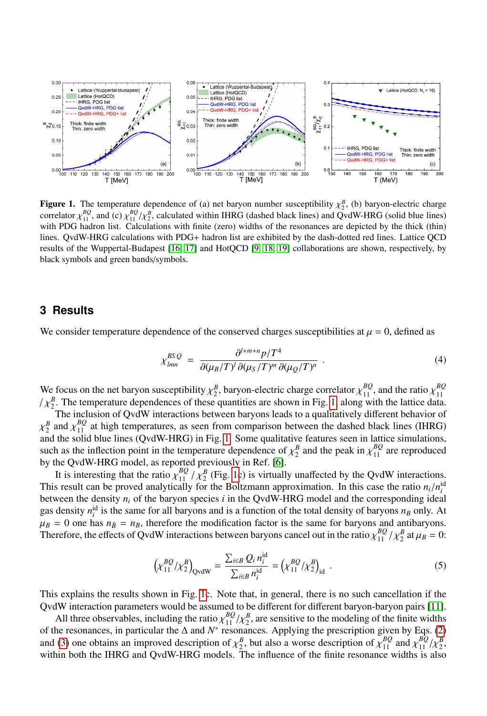

<span id="page-2-0"></span>**Figure 1.** The temperature dependence of (a) net baryon number susceptibility  $\chi^B_2$ , (b) baryon-electric charge correlator  $\chi^B Q$  and  $(c)$   $\chi^B Q/\chi^B$  calculated within IHRG (dashed black lines) and  $O$  wdW-HRG (soli correlator  $\chi_{11}^{BQ}$ , and (c)  $\chi_{21}^{BQ}/\chi_{22}^{B}$ , calculated within IHRG (dashed black lines) and QvdW-HRG (solid blue lines) with PDG hadron list. Calculations with finite (zero) widths of the resonances are denict with PDG hadron list. Calculations with finite (zero) widths of the resonances are depicted by the thick (thin) lines. QvdW-HRG calculations with PDG+ hadron list are exhibited by the dash-dotted red lines. Lattice QCD results of the Wuppertal-Budapest [\[16,](#page-3-13) [17\]](#page-3-14) and HotQCD [\[9,](#page-3-15) [18,](#page-3-16) [19\]](#page-3-17) collaborations are shown, respectively, by black symbols and green bands/symbols.

## **3 Results**

We consider temperature dependence of the conserved charges susceptibilities at  $\mu = 0$ , defined as

$$
\chi_{lmn}^{BSQ} = \frac{\partial^{l+m+n} p/T^4}{\partial(\mu_B/T)^l \partial(\mu_S/T)^m \partial(\mu_Q/T)^n} . \tag{4}
$$

We focus on the net baryon susceptibility  $\chi^B$ , baryon-electric charge correlator  $\chi^{BQ}_{11}$ , and the ratio  $\chi^{BQ}_{11}$ <br>  $\chi^{B}$ . The temperature dependences of these quantities are shown in Fig. 1, along with the latt 11  $\chi_2^B$ . The temperature dependences of these quantities are shown in Fig. [1,](#page-2-0) along with the lattice data.<br>The inclusion of OvdW interactions between harvons leads to a qualitatively different behavior of

The inclusion of QvdW interactions between baryons leads to a qualitatively different behavior of  $x_2$  and  $x_{11}$  at light emperatures, as seen nom comparison between the dashed black lines (TIRC) and the solid blue lines (QvdW-HRG) in Fig. [1.](#page-2-0) Some qualitative features seen in lattice simulations, *B* and  $\chi_{11}^{BQ}$  at high temperatures, as seen from comparison between the dashed black lines (IHRG) and the solid blue lines (OvdW-HRG) in Fig. 1. Some qualitative features seen in lattice simulations such as the inflection point in the temperature dependence of  $\chi_2^B$  and the peak in  $\chi_{11}^{BQ}$  are reproduced<br>by the OvdW-HRG model, as reported previously in Ref. [6] by the QvdW-HRG model, as reported previously in Ref. [\[6\]](#page-3-5).

It is interesting that the ratio  $\chi_{11}^{BQ}$  /  $\chi_{2}^{B}$  (Fig. [1c](#page-2-0)) is virtually unaffected by the QvdW interactions. This result can be proved analytically for the Boltzmann approximation. In this case the ratio  $n_i/n_i^{id}$ <br>between the density  $n_i$  of the baryon species *i* in the OvdW-HRG model and the corresponding ideal between the density  $n_i$  of the baryon species  $i$  in the QvdW-HRG model and the corresponding ideal gas density  $n_i^{\text{id}}$  is the same for all baryons and is a function of the total density of baryons  $n_B$  only. At  $\mu_B = 0$  one has  $n_B = n_B$ , therefore the modification factor is the same for baryons and antibaryons.<br>Therefore the effects of OvdW interactions between baryons cancel out in the ratio  $v^{BQ}/v^B$  at  $u_0 = 0$ . Therefore, the effects of QvdW interactions between baryons cancel out in the ratio  $\chi_{11}^{BQ}$  / $\chi_2^B$  at  $\mu_B = 0$ :

$$
\left(\chi_{11}^{BQ}/\chi_2^{B}\right)_{\text{QvdW}} = \frac{\sum_{i \in B} Q_i n_i^{\text{id}}}{\sum_{i \in B} n_i^{\text{id}}} = \left(\chi_{11}^{BQ}/\chi_2^{B}\right)_{\text{id}}.
$$
\n(5)

This explains the results shown in Fig. [1c](#page-2-0). Note that, in general, there is no such cancellation if the QvdW interaction parameters would be assumed to be different for different baryon-baryon pairs [\[11\]](#page-3-8).

All three observables, including the ratio  $\chi_{11}^{BQ}/\chi_{2}^{B}$ , are sensitive to the modeling of the finite widths be resonances in particular the A and  $N^*$  resonances. Applying the prescription given by Eqs. (2) of the resonances, in particular the  $\Delta$  and  $N^*$  resonances. Applying the prescription given by Eqs. [\(2\)](#page-1-1) and [\(3\)](#page-1-2) one obtains an improved description of  $\chi^B$ , but also a worse description of  $\chi^{BQ}_{11}$  and  $\chi^{BQ}_{12}/\chi^B$ , within both the IHRG and OvdW-HRG models. The influence of the finite resonance widths is also within both the IHRG and QvdW-HRG models. The influence of the finite resonance widths is also